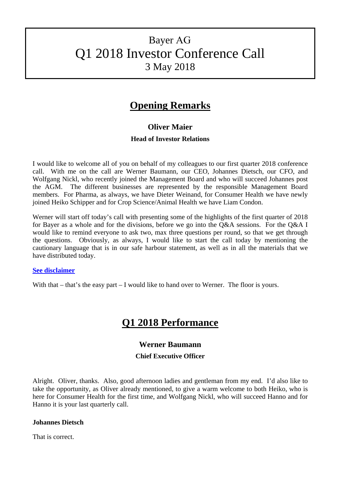# Bayer AG Q1 2018 Investor Conference Call 3 May 2018

## **Opening Remarks**

## **Oliver Maier**

## **Head of Investor Relations**

I would like to welcome all of you on behalf of my colleagues to our first quarter 2018 conference call. With me on the call are Werner Baumann, our CEO, Johannes Dietsch, our CFO, and Wolfgang Nickl, who recently joined the Management Board and who will succeed Johannes post the AGM. The different businesses are represented by the responsible Management Board members. For Pharma, as always, we have Dieter Weinand, for Consumer Health we have newly joined Heiko Schipper and for Crop Science/Animal Health we have Liam Condon.

Werner will start off today's call with presenting some of the highlights of the first quarter of 2018 for Bayer as a whole and for the divisions, before we go into the Q&A sessions. For the Q&A I would like to remind everyone to ask two, max three questions per round, so that we get through the questions. Obviously, as always, I would like to start the call today by mentioning the cautionary language that is in our safe harbour statement, as well as in all the materials that we have distributed today.

#### **[See disclaimer](#page-19-0)**

With that – that's the easy part – I would like to hand over to Werner. The floor is yours.

## **Q1 2018 Performance**

## **Werner Baumann**

#### **Chief Executive Officer**

Alright. Oliver, thanks. Also, good afternoon ladies and gentleman from my end. I'd also like to take the opportunity, as Oliver already mentioned, to give a warm welcome to both Heiko, who is here for Consumer Health for the first time, and Wolfgang Nickl, who will succeed Hanno and for Hanno it is your last quarterly call.

#### **Johannes Dietsch**

That is correct.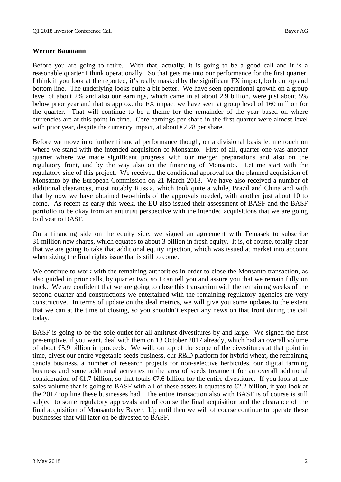#### **Werner Baumann**

Before you are going to retire. With that, actually, it is going to be a good call and it is a reasonable quarter I think operationally. So that gets me into our performance for the first quarter. I think if you look at the reported, it's really masked by the significant FX impact, both on top and bottom line. The underlying looks quite a bit better. We have seen operational growth on a group level of about 2% and also our earnings, which came in at about 2.9 billion, were just about 5% below prior year and that is approx. the FX impact we have seen at group level of 160 million for the quarter. That will continue to be a theme for the remainder of the year based on where currencies are at this point in time. Core earnings per share in the first quarter were almost level with prior year, despite the currency impact, at about  $\epsilon$ 2.28 per share.

Before we move into further financial performance though, on a divisional basis let me touch on where we stand with the intended acquisition of Monsanto. First of all, quarter one was another quarter where we made significant progress with our merger preparations and also on the regulatory front, and by the way also on the financing of Monsanto. Let me start with the regulatory side of this project. We received the conditional approval for the planned acquisition of Monsanto by the European Commission on 21 March 2018. We have also received a number of additional clearances, most notably Russia, which took quite a while, Brazil and China and with that by now we have obtained two-thirds of the approvals needed, with another just about 10 to come. As recent as early this week, the EU also issued their assessment of BASF and the BASF portfolio to be okay from an antitrust perspective with the intended acquisitions that we are going to divest to BASF.

On a financing side on the equity side, we signed an agreement with Temasek to subscribe 31 million new shares, which equates to about 3 billion in fresh equity. It is, of course, totally clear that we are going to take that additional equity injection, which was issued at market into account when sizing the final rights issue that is still to come.

We continue to work with the remaining authorities in order to close the Monsanto transaction, as also guided in prior calls, by quarter two, so I can tell you and assure you that we remain fully on track. We are confident that we are going to close this transaction with the remaining weeks of the second quarter and constructions we entertained with the remaining regulatory agencies are very constructive. In terms of update on the deal metrics, we will give you some updates to the extent that we can at the time of closing, so you shouldn't expect any news on that front during the call today.

BASF is going to be the sole outlet for all antitrust divestitures by and large. We signed the first pre-emptive, if you want, deal with them on 13 October 2017 already, which had an overall volume of about  $\epsilon$ 5.9 billion in proceeds. We will, on top of the scope of the divestitures at that point in time, divest our entire vegetable seeds business, our R&D platform for hybrid wheat, the remaining canola business, a number of research projects for non-selective herbicides, our digital farming business and some additional activities in the area of seeds treatment for an overall additional consideration of  $\bigoplus$ .7 billion, so that totals  $\bigoplus$ .6 billion for the entire divestiture. If you look at the sales volume that is going to BASF with all of these assets it equates to  $\epsilon$ 2.2 billion, if you look at the 2017 top line these businesses had. The entire transaction also with BASF is of course is still subject to some regulatory approvals and of course the final acquisition and the clearance of the final acquisition of Monsanto by Bayer. Up until then we will of course continue to operate these businesses that will later on be divested to BASF.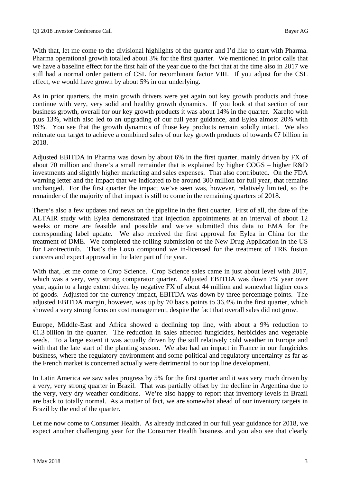With that, let me come to the divisional highlights of the quarter and I'd like to start with Pharma. Pharma operational growth totalled about 3% for the first quarter. We mentioned in prior calls that we have a baseline effect for the first half of the year due to the fact that at the time also in 2017 we still had a normal order pattern of CSL for recombinant factor VIII. If you adjust for the CSL effect, we would have grown by about 5% in our underlying.

As in prior quarters, the main growth drivers were yet again out key growth products and those continue with very, very solid and healthy growth dynamics. If you look at that section of our business growth, overall for our key growth products it was about 14% in the quarter. Xarelto with plus 13%, which also led to an upgrading of our full year guidance, and Eylea almost 20% with 19%. You see that the growth dynamics of those key products remain solidly intact. We also reiterate our target to achieve a combined sales of our key growth products of towards €7 billion in 2018.

Adjusted EBITDA in Pharma was down by about 6% in the first quarter, mainly driven by FX of about 70 million and there's a small remainder that is explained by higher COGS – higher R&D investments and slightly higher marketing and sales expenses. That also contributed. On the FDA warning letter and the impact that we indicated to be around 300 million for full year, that remains unchanged. For the first quarter the impact we've seen was, however, relatively limited, so the remainder of the majority of that impact is still to come in the remaining quarters of 2018.

There's also a few updates and news on the pipeline in the first quarter. First of all, the date of the ALTAIR study with Eylea demonstrated that injection appointments at an interval of about 12 weeks or more are feasible and possible and we've submitted this data to EMA for the corresponding label update. We also received the first approval for Eylea in China for the treatment of DME. We completed the rolling submission of the New Drug Application in the US for Larotrectinib. That's the Loxo compound we in-licensed for the treatment of TRK fusion cancers and expect approval in the later part of the year.

With that, let me come to Crop Science. Crop Science sales came in just about level with 2017, which was a very, very strong comparator quarter. Adjusted EBITDA was down 7% year over year, again to a large extent driven by negative FX of about 44 million and somewhat higher costs of goods. Adjusted for the currency impact, EBITDA was down by three percentage points. The adjusted EBITDA margin, however, was up by 70 basis points to 36.4% in the first quarter, which showed a very strong focus on cost management, despite the fact that overall sales did not grow.

Europe, Middle-East and Africa showed a declining top line, with about a 9% reduction to €1.3 billion in the quarter. The reduction in sales affected fungicides, herbicides and vegetable seeds. To a large extent it was actually driven by the still relatively cold weather in Europe and with that the late start of the planting season. We also had an impact in France in our fungicides business, where the regulatory environment and some political and regulatory uncertainty as far as the French market is concerned actually were detrimental to our top line development.

In Latin America we saw sales progress by 5% for the first quarter and it was very much driven by a very, very strong quarter in Brazil. That was partially offset by the decline in Argentina due to the very, very dry weather conditions. We're also happy to report that inventory levels in Brazil are back to totally normal. As a matter of fact, we are somewhat ahead of our inventory targets in Brazil by the end of the quarter.

Let me now come to Consumer Health. As already indicated in our full year guidance for 2018, we expect another challenging year for the Consumer Health business and you also see that clearly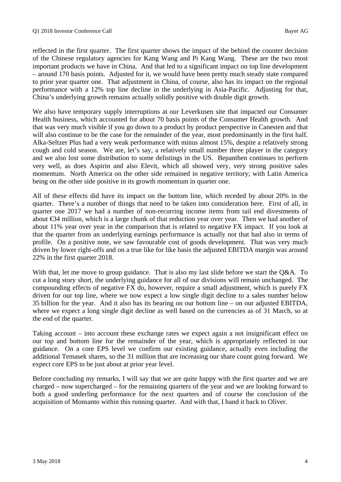reflected in the first quarter. The first quarter shows the impact of the behind the counter decision of the Chinese regulatory agencies for Kang Wang and Pi Kang Wang. These are the two most important products we have in China. And that led to a significant impact on top line development – around 170 basis points. Adjusted for it, we would have been pretty much steady state compared to prior year quarter one. That adjustment in China, of course, also has its impact on the regional performance with a 12% top line decline in the underlying in Asia-Pacific. Adjusting for that, China's underlying growth remains actually solidly positive with double digit growth.

We also have temporary supply interruptions at our Leverkusen site that impacted our Consumer Health business, which accounted for about 70 basis points of the Consumer Health growth. And that was very much visible if you go down to a product by product perspective in Canesten and that will also continue to be the case for the remainder of the year, most predominantly in the first half. Alka-Seltzer Plus had a very weak performance with minus almost 15%, despite a relatively strong cough and cold season. We are, let's say, a relatively small number three player in the category and we also lost some distribution to some delistings in the US. Bepanthen continues to perform very well, as does Aspirin and also Elevit, which all showed very, very strong positive sales momentum. North America on the other side remained in negative territory; with Latin America being on the other side positive in its growth momentum in quarter one.

All of these effects did have its impact on the bottom line, which receded by about 20% in the quarter. There's a number of things that need to be taken into consideration here. First of all, in quarter one 2017 we had a number of non-recurring income items from tail end divestments of about €34 million, which is a large chunk of that reduction year over year. Then we had another of about 11% year over year in the comparison that is related to negative FX impact. If you look at that the quarter from an underlying earnings performance is actually not that bad also in terms of profile. On a positive note, we saw favourable cost of goods development. That was very much driven by lower right-offs and on a true like for like basis the adjusted EBITDA margin was around 22% in the first quarter 2018.

With that, let me move to group guidance. That is also my last slide before we start the O&A. To cut a long story short, the underlying guidance for all of our divisions will remain unchanged. The compounding effects of negative FX do, however, require a small adjustment, which is purely FX driven for our top line, where we now expect a low single digit decline to a sales number below 35 billion for the year. And it also has its bearing on our bottom line – on our adjusted EBITDA, where we expect a long single digit decline as well based on the currencies as of 31 March, so at the end of the quarter.

Taking account – into account these exchange rates we expect again a not insignificant effect on our top and bottom line for the remainder of the year, which is appropriately reflected in our guidance. On a core EPS level we confirm our existing guidance, actually even including the additional Temasek shares, so the 31 million that are increasing our share count going forward. We expect core EPS to be just about at prior year level.

Before concluding my remarks, I will say that we are quite happy with the first quarter and we are charged – now supercharged – for the remaining quarters of the year and we are looking forward to both a good underling performance for the next quarters and of course the conclusion of the acquisition of Monsanto within this running quarter. And with that, I hand it back to Oliver.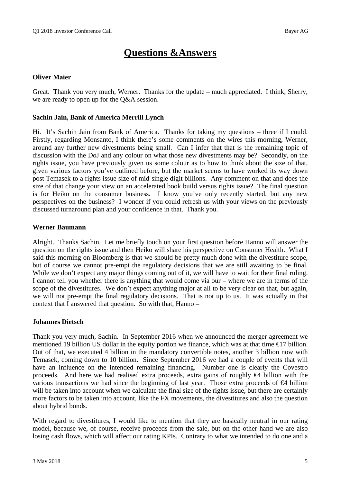# **Questions &Answers**

#### **Oliver Maier**

Great. Thank you very much, Werner. Thanks for the update – much appreciated. I think, Sherry, we are ready to open up for the Q&A session.

#### **Sachin Jain, Bank of America Merrill Lynch**

Hi. It's Sachin Jain from Bank of America. Thanks for taking my questions – three if I could. Firstly, regarding Monsanto, I think there's some comments on the wires this morning, Werner, around any further new divestments being small. Can I infer that that is the remaining topic of discussion with the DoJ and any colour on what those new divestments may be? Secondly, on the rights issue, you have previously given us some colour as to how to think about the size of that, given various factors you've outlined before, but the market seems to have worked its way down post Temasek to a rights issue size of mid-single digit billions. Any comment on that and does the size of that change your view on an accelerated book build versus rights issue? The final question is for Heiko on the consumer business. I know you've only recently started, but any new perspectives on the business? I wonder if you could refresh us with your views on the previously discussed turnaround plan and your confidence in that. Thank you.

#### **Werner Baumann**

Alright. Thanks Sachin. Let me briefly touch on your first question before Hanno will answer the question on the rights issue and then Heiko will share his perspective on Consumer Health. What I said this morning on Bloomberg is that we should be pretty much done with the divestiture scope, but of course we cannot pre-empt the regulatory decisions that we are still awaiting to be final. While we don't expect any major things coming out of it, we will have to wait for their final ruling. I cannot tell you whether there is anything that would come via our – where we are in terms of the scope of the divestitures. We don't expect anything major at all to be very clear on that, but again, we will not pre-empt the final regulatory decisions. That is not up to us. It was actually in that context that I answered that question. So with that, Hanno –

#### **Johannes Dietsch**

Thank you very much, Sachin. In September 2016 when we announced the merger agreement we mentioned 19 billion US dollar in the equity portion we finance, which was at that time  $\epsilon$ 17 billion. Out of that, we executed 4 billion in the mandatory convertible notes, another 3 billion now with Temasek, coming down to 10 billion. Since September 2016 we had a couple of events that will have an influence on the intended remaining financing. Number one is clearly the Covestro proceeds. And here we had realised extra proceeds, extra gains of roughly €4 billion with the various transactions we had since the beginning of last year. Those extra proceeds of  $\bigoplus$  billion will be taken into account when we calculate the final size of the rights issue, but there are certainly more factors to be taken into account, like the FX movements, the divestitures and also the question about hybrid bonds.

With regard to divestitures, I would like to mention that they are basically neutral in our rating model, because we, of course, receive proceeds from the sale, but on the other hand we are also losing cash flows, which will affect our rating KPIs. Contrary to what we intended to do one and a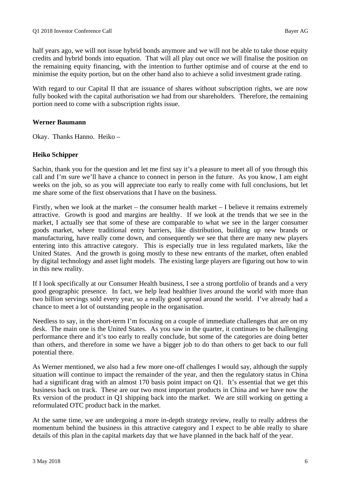half years ago, we will not issue hybrid bonds anymore and we will not be able to take those equity credits and hybrid bonds into equation. That will all play out once we will finalise the position on the remaining equity financing, with the intention to further optimise and of course at the end to minimise the equity portion, but on the other hand also to achieve a solid investment grade rating.

With regard to our Capital II that are issuance of shares without subscription rights, we are now fully booked with the capital authorisation we had from our shareholders. Therefore, the remaining portion need to come with a subscription rights issue.

#### **Werner Baumann**

Okay. Thanks Hanno. Heiko –

#### **Heiko Schipper**

Sachin, thank you for the question and let me first say it's a pleasure to meet all of you through this call and I'm sure we'll have a chance to connect in person in the future. As you know, I am eight weeks on the job, so as you will appreciate too early to really come with full conclusions, but let me share some of the first observations that I have on the business.

Firstly, when we look at the market – the consumer health market – I believe it remains extremely attractive. Growth is good and margins are healthy. If we look at the trends that we see in the market, I actually see that some of these are comparable to what we see in the larger consumer goods market, where traditional entry barriers, like distribution, building up new brands or manufacturing, have really come down, and consequently we see that there are many new players entering into this attractive category. This is especially true in less regulated markets, like the United States. And the growth is going mostly to these new entrants of the market, often enabled by digital technology and asset light models. The existing large players are figuring out how to win in this new reality.

If I look specifically at our Consumer Health business, I see a strong portfolio of brands and a very good geographic presence. In fact, we help lead healthier lives around the world with more than two billion servings sold every year, so a really good spread around the world. I've already had a chance to meet a lot of outstanding people in the organisation.

Needless to say, in the short-term I'm focusing on a couple of immediate challenges that are on my desk. The main one is the United States. As you saw in the quarter, it continues to be challenging performance there and it's too early to really conclude, but some of the categories are doing better than others, and therefore in some we have a bigger job to do than others to get back to our full potential there.

As Werner mentioned, we also had a few more one-off challenges I would say, although the supply situation will continue to impact the remainder of the year, and then the regulatory status in China had a significant drag with an almost 170 basis point impact on Q1. It's essential that we get this business back on track. These are our two most important products in China and we have now the Rx version of the product in Q1 shipping back into the market. We are still working on getting a reformulated OTC product back in the market.

At the same time, we are undergoing a more in-depth strategy review, really to really address the momentum behind the business in this attractive category and I expect to be able really to share details of this plan in the capital markets day that we have planned in the back half of the year.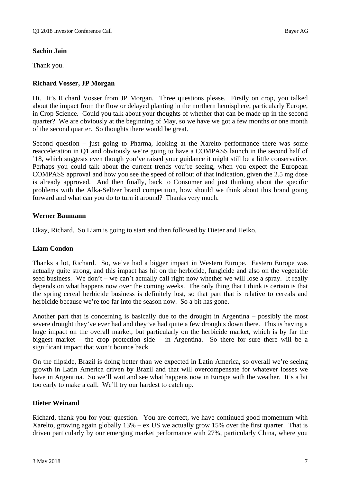## **Sachin Jain**

Thank you.

## **Richard Vosser, JP Morgan**

Hi. It's Richard Vosser from JP Morgan. Three questions please. Firstly on crop, you talked about the impact from the flow or delayed planting in the northern hemisphere, particularly Europe, in Crop Science. Could you talk about your thoughts of whether that can be made up in the second quarter? We are obviously at the beginning of May, so we have we got a few months or one month of the second quarter. So thoughts there would be great.

Second question – just going to Pharma, looking at the Xarelto performance there was some reacceleration in Q1 and obviously we're going to have a COMPASS launch in the second half of '18, which suggests even though you've raised your guidance it might still be a little conservative. Perhaps you could talk about the current trends you're seeing, when you expect the European COMPASS approval and how you see the speed of rollout of that indication, given the 2.5 mg dose is already approved. And then finally, back to Consumer and just thinking about the specific problems with the Alka-Seltzer brand competition, how should we think about this brand going forward and what can you do to turn it around? Thanks very much.

## **Werner Baumann**

Okay, Richard. So Liam is going to start and then followed by Dieter and Heiko.

#### **Liam Condon**

Thanks a lot, Richard. So, we've had a bigger impact in Western Europe. Eastern Europe was actually quite strong, and this impact has hit on the herbicide, fungicide and also on the vegetable seed business. We don't – we can't actually call right now whether we will lose a spray. It really depends on what happens now over the coming weeks. The only thing that I think is certain is that the spring cereal herbicide business is definitely lost, so that part that is relative to cereals and herbicide because we're too far into the season now. So a bit has gone.

Another part that is concerning is basically due to the drought in Argentina – possibly the most severe drought they've ever had and they've had quite a few droughts down there. This is having a huge impact on the overall market, but particularly on the herbicide market, which is by far the biggest market – the crop protection side – in Argentina. So there for sure there will be a significant impact that won't bounce back.

On the flipside, Brazil is doing better than we expected in Latin America, so overall we're seeing growth in Latin America driven by Brazil and that will overcompensate for whatever losses we have in Argentina. So we'll wait and see what happens now in Europe with the weather. It's a bit too early to make a call. We'll try our hardest to catch up.

## **Dieter Weinand**

Richard, thank you for your question. You are correct, we have continued good momentum with Xarelto, growing again globally 13% – ex US we actually grow 15% over the first quarter. That is driven particularly by our emerging market performance with 27%, particularly China, where you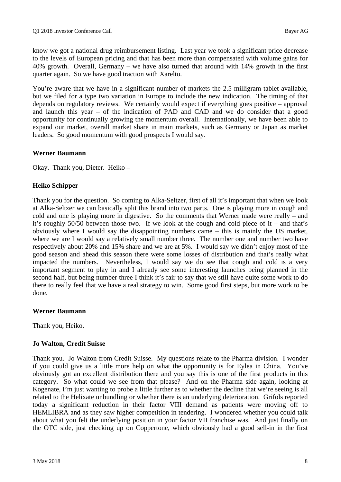know we got a national drug reimbursement listing. Last year we took a significant price decrease to the levels of European pricing and that has been more than compensated with volume gains for 40% growth. Overall, Germany – we have also turned that around with 14% growth in the first quarter again. So we have good traction with Xarelto.

You're aware that we have in a significant number of markets the 2.5 milligram tablet available, but we filed for a type two variation in Europe to include the new indication. The timing of that depends on regulatory reviews. We certainly would expect if everything goes positive – approval and launch this year – of the indication of PAD and CAD and we do consider that a good opportunity for continually growing the momentum overall. Internationally, we have been able to expand our market, overall market share in main markets, such as Germany or Japan as market leaders. So good momentum with good prospects I would say.

#### **Werner Baumann**

Okay. Thank you, Dieter. Heiko –

#### **Heiko Schipper**

Thank you for the question. So coming to Alka-Seltzer, first of all it's important that when we look at Alka-Seltzer we can basically split this brand into two parts. One is playing more in cough and cold and one is playing more in digestive. So the comments that Werner made were really – and it's roughly 50/50 between those two. If we look at the cough and cold piece of it – and that's obviously where I would say the disappointing numbers came – this is mainly the US market, where we are I would say a relatively small number three. The number one and number two have respectively about 20% and 15% share and we are at 5%. I would say we didn't enjoy most of the good season and ahead this season there were some losses of distribution and that's really what impacted the numbers. Nevertheless, I would say we do see that cough and cold is a very important segment to play in and I already see some interesting launches being planned in the second half, but being number three I think it's fair to say that we still have quite some work to do there to really feel that we have a real strategy to win. Some good first steps, but more work to be done.

#### **Werner Baumann**

Thank you, Heiko.

#### **Jo Walton, Credit Suisse**

Thank you. Jo Walton from Credit Suisse. My questions relate to the Pharma division. I wonder if you could give us a little more help on what the opportunity is for Eylea in China. You've obviously got an excellent distribution there and you say this is one of the first products in this category. So what could we see from that please? And on the Pharma side again, looking at Kogenate, I'm just wanting to probe a little further as to whether the decline that we're seeing is all related to the Helixate unbundling or whether there is an underlying deterioration. Grifols reported today a significant reduction in their factor VIII demand as patients were moving off to HEMLIBRA and as they saw higher competition in tendering. I wondered whether you could talk about what you felt the underlying position in your factor VII franchise was. And just finally on the OTC side, just checking up on Coppertone, which obviously had a good sell-in in the first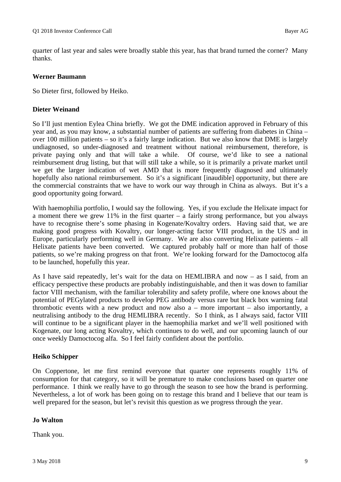quarter of last year and sales were broadly stable this year, has that brand turned the corner? Many thanks.

#### **Werner Baumann**

So Dieter first, followed by Heiko.

## **Dieter Weinand**

So I'll just mention Eylea China briefly. We got the DME indication approved in February of this year and, as you may know, a substantial number of patients are suffering from diabetes in China – over 100 million patients – so it's a fairly large indication. But we also know that DME is largely undiagnosed, so under-diagnosed and treatment without national reimbursement, therefore, is private paying only and that will take a while. Of course, we'd like to see a national reimbursement drug listing, but that will still take a while, so it is primarily a private market until we get the larger indication of wet AMD that is more frequently diagnosed and ultimately hopefully also national reimbursement. So it's a significant [inaudible] opportunity, but there are the commercial constraints that we have to work our way through in China as always. But it's a good opportunity going forward.

With haemophilia portfolio, I would say the following. Yes, if you exclude the Helixate impact for a moment there we grew 11% in the first quarter – a fairly strong performance, but you always have to recognise there's some phasing in Kogenate/Kovaltry orders. Having said that, we are making good progress with Kovaltry, our longer-acting factor VIII product, in the US and in Europe, particularly performing well in Germany. We are also converting Helixate patients – all Helixate patients have been converted. We captured probably half or more than half of those patients, so we're making progress on that front. We're looking forward for the Damoctocog alfa to be launched, hopefully this year.

As I have said repeatedly, let's wait for the data on HEMLIBRA and now – as I said, from an efficacy perspective these products are probably indistinguishable, and then it was down to familiar factor VIII mechanism, with the familiar tolerability and safety profile, where one knows about the potential of PEGylated products to develop PEG antibody versus rare but black box warning fatal thrombotic events with a new product and now also  $a$  – more important – also importantly, a neutralising antibody to the drug HEMLIBRA recently. So I think, as I always said, factor VIII will continue to be a significant player in the haemophilia market and we'll well positioned with Kogenate, our long acting Kovaltry, which continues to do well, and our upcoming launch of our once weekly Damoctocog alfa. So I feel fairly confident about the portfolio.

#### **Heiko Schipper**

On Coppertone, let me first remind everyone that quarter one represents roughly 11% of consumption for that category, so it will be premature to make conclusions based on quarter one performance. I think we really have to go through the season to see how the brand is performing. Nevertheless, a lot of work has been going on to restage this brand and I believe that our team is well prepared for the season, but let's revisit this question as we progress through the year.

#### **Jo Walton**

Thank you.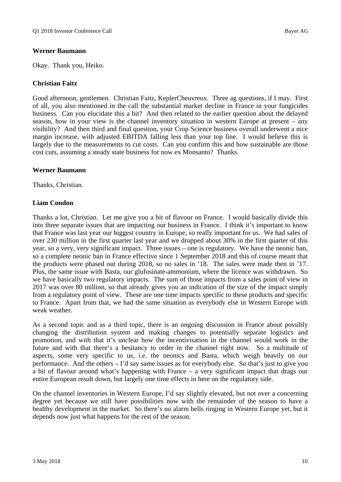## **Werner Baumann**

Okay. Thank you, Heiko.

## **Christian Faitz**

Good afternoon, gentlemen. Christian Faitz, KeplerCheuvreux. Three ag questions, if I may. First of all, you also mentioned in the call the substantial market decline in France in your fungicides business. Can you elucidate this a bit? And then related to the earlier question about the delayed season, how in your view is the channel inventory situation in western Europe at present – any visibility? And then third and final question, your Crop Science business overall underwent a nice margin increase, with adjusted EBITDA falling less than your top line. I would believe this is largely due to the measurements to cut costs. Can you confirm this and how sustainable are those cost cuts, assuming a steady state business for now ex Monsanto? Thanks.

#### **Werner Baumann**

Thanks, Christian.

## **Liam Condon**

Thanks a lot, Christian. Let me give you a bit of flavour on France. I would basically divide this into three separate issues that are impacting our business in France. I think it's important to know that France was last year our biggest country in Europe, so really important for us. We had sales of over 230 million in the first quarter last year and we dropped about 30% in the first quarter of this year, so a very, very significant impact. Three issues – one is regulatory. We have the neonic ban, so a complete neonic ban in France effective since 1 September 2018 and this of course meant that the products were phased out during 2018, so no sales in '18. The sales were made then in '17. Plus, the same issue with Basta, our glufosinate-ammonium, where the licence was withdrawn. So we have basically two regulatory impacts. The sum of those impacts from a sales point of view in 2017 was over 80 million, so that already gives you an indication of the size of the impact simply from a regulatory point of view. These are one time impacts specific to these products and specific to France. Apart from that, we had the same situation as everybody else in Western Europe with weak weather.

As a second topic and as a third topic, there is an ongoing discussion in France about possibly changing the distribution system and making changes to potentially separate logistics and promotion, and with that it's unclear how the incentivisation in the channel would work in the future and with that there's a hesitancy to order in the channel right now. So a multitude of aspects, some very specific to us, i.e. the neonics and Basta, which weigh heavily on our performance. And the others – I'd say same issues as for everybody else. So that's just to give you a bit of flavour around what's happening with France – a very significant impact that drags our entire European result down, but largely one time effects in here on the regulatory side.

On the channel inventories in Western Europe, I'd say slightly elevated, but not over a concerning degree yet because we still have possibilities now with the remainder of the season to have a healthy development in the market. So there's no alarm bells ringing in Western Europe yet, but it depends now just what happens for the rest of the season.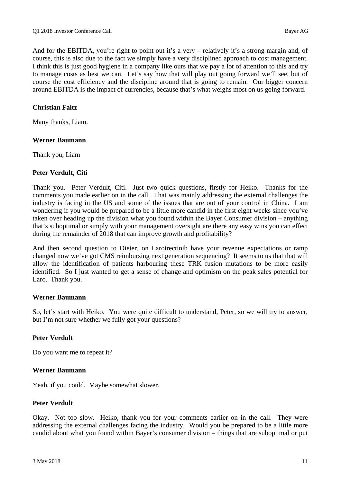And for the EBITDA, you're right to point out it's a very – relatively it's a strong margin and, of course, this is also due to the fact we simply have a very disciplined approach to cost management. I think this is just good hygiene in a company like ours that we pay a lot of attention to this and try to manage costs as best we can. Let's say how that will play out going forward we'll see, but of course the cost efficiency and the discipline around that is going to remain. Our bigger concern around EBITDA is the impact of currencies, because that's what weighs most on us going forward.

#### **Christian Faitz**

Many thanks, Liam.

#### **Werner Baumann**

Thank you, Liam

#### **Peter Verdult, Citi**

Thank you. Peter Verdult, Citi. Just two quick questions, firstly for Heiko. Thanks for the comments you made earlier on in the call. That was mainly addressing the external challenges the industry is facing in the US and some of the issues that are out of your control in China. I am wondering if you would be prepared to be a little more candid in the first eight weeks since you've taken over heading up the division what you found within the Bayer Consumer division – anything that's suboptimal or simply with your management oversight are there any easy wins you can effect during the remainder of 2018 that can improve growth and profitability?

And then second question to Dieter, on Larotrectinib have your revenue expectations or ramp changed now we've got CMS reimbursing next generation sequencing? It seems to us that that will allow the identification of patients harbouring these TRK fusion mutations to be more easily identified. So I just wanted to get a sense of change and optimism on the peak sales potential for Laro. Thank you.

#### **Werner Baumann**

So, let's start with Heiko. You were quite difficult to understand, Peter, so we will try to answer, but I'm not sure whether we fully got your questions?

#### **Peter Verdult**

Do you want me to repeat it?

#### **Werner Baumann**

Yeah, if you could. Maybe somewhat slower.

#### **Peter Verdult**

Okay. Not too slow. Heiko, thank you for your comments earlier on in the call. They were addressing the external challenges facing the industry. Would you be prepared to be a little more candid about what you found within Bayer's consumer division – things that are suboptimal or put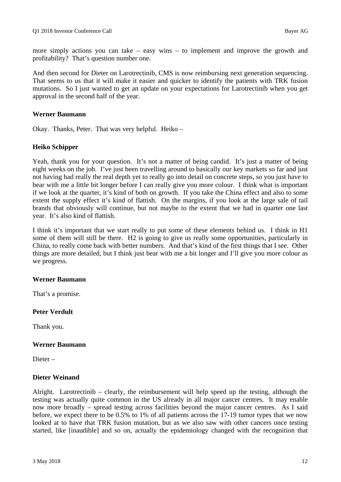more simply actions you can take – easy wins – to implement and improve the growth and profitability? That's question number one.

And then second for Dieter on Larotrectinib, CMS is now reimbursing next generation sequencing. That seems to us that it will make it easier and quicker to identify the patients with TRK fusion mutations. So I just wanted to get an update on your expectations for Larotrectinib when you get approval in the second half of the year.

#### **Werner Baumann**

Okay. Thanks, Peter. That was very helpful. Heiko –

#### **Heiko Schipper**

Yeah, thank you for your question. It's not a matter of being candid. It's just a matter of being eight weeks on the job. I've just been travelling around to basically our key markets so far and just not having had really the real depth yet to really go into detail on concrete steps, so you just have to bear with me a little bit longer before I can really give you more colour. I think what is important if we look at the quarter, it's kind of both on growth. If you take the China effect and also to some extent the supply effect it's kind of flattish. On the margins, if you look at the large sale of tail brands that obviously will continue, but not maybe to the extent that we had in quarter one last year. It's also kind of flattish.

I think it's important that we start really to put some of these elements behind us. I think in H1 some of them will still be there. H2 is going to give us really some opportunities, particularly in China, to really come back with better numbers. And that's kind of the first things that I see. Other things are more detailed, but I think just bear with me a bit longer and I'll give you more colour as we progress.

#### **Werner Baumann**

That's a promise.

#### **Peter Verdult**

Thank you.

#### **Werner Baumann**

Dieter –

#### **Dieter Weinand**

Alright. Larotrectinib – clearly, the reimbursement will help speed up the testing, although the testing was actually quite common in the US already in all major cancer centres. It may enable now more broadly – spread testing across facilities beyond the major cancer centres. As I said before, we expect there to be 0.5% to 1% of all patients across the 17-19 tumor types that we now looked at to have that TRK fusion mutation, but as we also saw with other cancers once testing started, like [inaudible] and so on, actually the epidemiology changed with the recognition that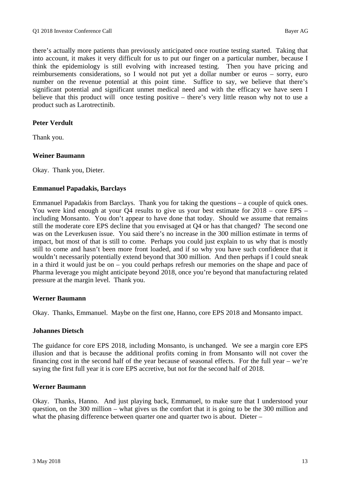there's actually more patients than previously anticipated once routine testing started. Taking that into account, it makes it very difficult for us to put our finger on a particular number, because I think the epidemiology is still evolving with increased testing. Then you have pricing and reimbursements considerations, so I would not put yet a dollar number or euros – sorry, euro number on the revenue potential at this point time. Suffice to say, we believe that there's significant potential and significant unmet medical need and with the efficacy we have seen I believe that this product will once testing positive – there's very little reason why not to use a product such as Larotrectinib.

## **Peter Verdult**

Thank you.

#### **Weiner Baumann**

Okay. Thank you, Dieter.

#### **Emmanuel Papadakis, Barclays**

Emmanuel Papadakis from Barclays. Thank you for taking the questions – a couple of quick ones. You were kind enough at your Q4 results to give us your best estimate for 2018 – core EPS – including Monsanto. You don't appear to have done that today. Should we assume that remains still the moderate core EPS decline that you envisaged at Q4 or has that changed? The second one was on the Leverkusen issue. You said there's no increase in the 300 million estimate in terms of impact, but most of that is still to come. Perhaps you could just explain to us why that is mostly still to come and hasn't been more front loaded, and if so why you have such confidence that it wouldn't necessarily potentially extend beyond that 300 million. And then perhaps if I could sneak in a third it would just be on – you could perhaps refresh our memories on the shape and pace of Pharma leverage you might anticipate beyond 2018, once you're beyond that manufacturing related pressure at the margin level. Thank you.

#### **Werner Baumann**

Okay. Thanks, Emmanuel. Maybe on the first one, Hanno, core EPS 2018 and Monsanto impact.

#### **Johannes Dietsch**

The guidance for core EPS 2018, including Monsanto, is unchanged. We see a margin core EPS illusion and that is because the additional profits coming in from Monsanto will not cover the financing cost in the second half of the year because of seasonal effects. For the full year – we're saying the first full year it is core EPS accretive, but not for the second half of 2018.

#### **Werner Baumann**

Okay. Thanks, Hanno. And just playing back, Emmanuel, to make sure that I understood your question, on the 300 million – what gives us the comfort that it is going to be the 300 million and what the phasing difference between quarter one and quarter two is about. Dieter –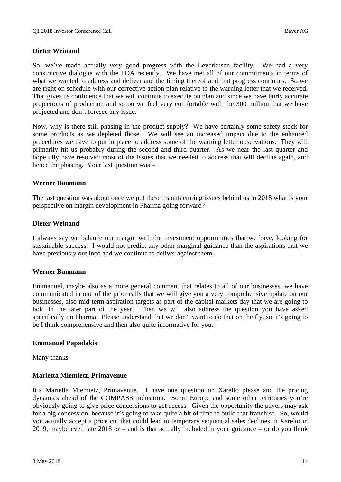## **Dieter Weinand**

So, we've made actually very good progress with the Leverkusen facility. We had a very constructive dialogue with the FDA recently. We have met all of our commitments in terms of what we wanted to address and deliver and the timing thereof and that progress continues. So we are right on schedule with our corrective action plan relative to the warning letter that we received. That gives us confidence that we will continue to execute on plan and since we have fairly accurate projections of production and so on we feel very comfortable with the 300 million that we have projected and don't foresee any issue.

Now, why is there still phasing in the product supply? We have certainly some safety stock for some products as we depleted those. We will see an increased impact due to the enhanced procedures we have to put in place to address some of the warning letter observations. They will primarily hit us probably during the second and third quarter. As we near the last quarter and hopefully have resolved most of the issues that we needed to address that will decline again, and hence the phasing. Your last question was –

#### **Werner Baumann**

The last question was about once we put these manufacturing issues behind us in 2018 what is your perspective on margin development in Pharma going forward?

#### **Dieter Weinand**

I always say we balance our margin with the investment opportunities that we have, looking for sustainable success. I would not predict any other marginal guidance than the aspirations that we have previously outlined and we continue to deliver against them.

#### **Werner Baumann**

Emmanuel, maybe also as a more general comment that relates to all of our businesses, we have communicated in one of the prior calls that we will give you a very comprehensive update on our businesses, also mid-term aspiration targets as part of the capital markets day that we are going to hold in the later part of the year. Then we will also address the question you have asked specifically on Pharma. Please understand that we don't want to do that on the fly, so it's going to be I think comprehensive and then also quite informative for you.

#### **Emmanuel Papadakis**

Many thanks.

#### **Marietta Miemietz, Primavenue**

It's Marietta Miemietz, Primavenue. I have one question on Xarelto please and the pricing dynamics ahead of the COMPASS indication. So in Europe and some other territories you're obviously going to give price concessions to get access. Given the opportunity the payers may ask for a big concession, because it's going to take quite a bit of time to build that franchise. So, would you actually accept a price cut that could lead to temporary sequential sales declines in Xarelto in 2019, maybe even late  $2018$  or – and is that actually included in your guidance – or do you think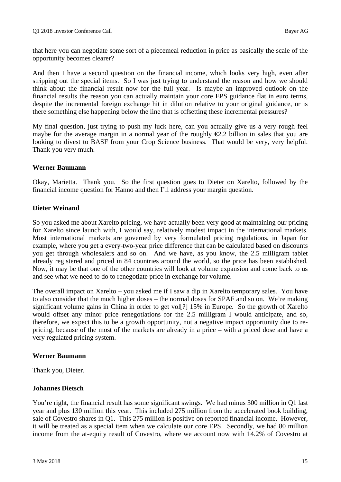that here you can negotiate some sort of a piecemeal reduction in price as basically the scale of the opportunity becomes clearer?

And then I have a second question on the financial income, which looks very high, even after stripping out the special items. So I was just trying to understand the reason and how we should think about the financial result now for the full year. Is maybe an improved outlook on the financial results the reason you can actually maintain your core EPS guidance flat in euro terms, despite the incremental foreign exchange hit in dilution relative to your original guidance, or is there something else happening below the line that is offsetting these incremental pressures?

My final question, just trying to push my luck here, can you actually give us a very rough feel maybe for the average margin in a normal year of the roughly  $\epsilon$ 2.2 billion in sales that you are looking to divest to BASF from your Crop Science business. That would be very, very helpful. Thank you very much.

#### **Werner Baumann**

Okay, Marietta. Thank you. So the first question goes to Dieter on Xarelto, followed by the financial income question for Hanno and then I'll address your margin question.

#### **Dieter Weinand**

So you asked me about Xarelto pricing, we have actually been very good at maintaining our pricing for Xarelto since launch with, I would say, relatively modest impact in the international markets. Most international markets are governed by very formulated pricing regulations, in Japan for example, where you get a every-two-year price difference that can be calculated based on discounts you get through wholesalers and so on. And we have, as you know, the 2.5 milligram tablet already registered and priced in 84 countries around the world, so the price has been established. Now, it may be that one of the other countries will look at volume expansion and come back to us and see what we need to do to renegotiate price in exchange for volume.

The overall impact on Xarelto – you asked me if I saw a dip in Xarelto temporary sales. You have to also consider that the much higher doses – the normal doses for SPAF and so on. We're making significant volume gains in China in order to get vol[?] 15% in Europe. So the growth of Xarelto would offset any minor price renegotiations for the 2.5 milligram I would anticipate, and so, therefore, we expect this to be a growth opportunity, not a negative impact opportunity due to repricing, because of the most of the markets are already in a price – with a priced dose and have a very regulated pricing system.

#### **Werner Baumann**

Thank you, Dieter.

#### **Johannes Dietsch**

You're right, the financial result has some significant swings. We had minus 300 million in Q1 last year and plus 130 million this year. This included 275 million from the accelerated book building, sale of Covestro shares in Q1. This 275 million is positive on reported financial income. However, it will be treated as a special item when we calculate our core EPS. Secondly, we had 80 million income from the at-equity result of Covestro, where we account now with 14.2% of Covestro at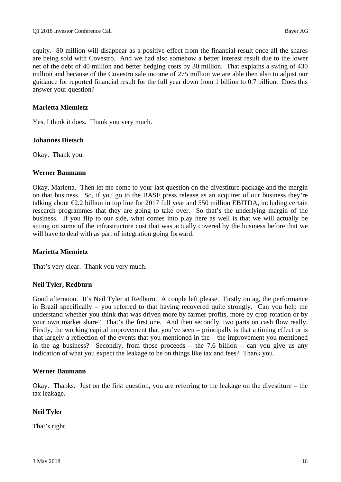equity. 80 million will disappear as a positive effect from the financial result once all the shares are being sold with Covestro. And we had also somehow a better interest result due to the lower net of the debt of 40 million and better hedging costs by 30 million. That explains a swing of 430 million and because of the Covestro sale income of 275 million we are able then also to adjust our guidance for reported financial result for the full year down from 1 billion to 0.7 billion. Does this answer your question?

## **Marietta Miemietz**

Yes, I think it does. Thank you very much.

#### **Johannes Dietsch**

Okay. Thank you.

#### **Werner Baumann**

Okay, Marietta. Then let me come to your last question on the divestiture package and the margin on that business. So, if you go to the BASF press release as an acquirer of our business they're talking about  $\epsilon$ 2.2 billion in top line for 2017 full year and 550 million EBITDA, including certain research programmes that they are going to take over. So that's the underlying margin of the business. If you flip to our side, what comes into play here as well is that we will actually be sitting on some of the infrastructure cost that was actually covered by the business before that we will have to deal with as part of integration going forward.

#### **Marietta Miemietz**

That's very clear. Thank you very much.

#### **Neil Tyler, Redburn**

Good afternoon. It's Neil Tyler at Redburn. A couple left please. Firstly on ag, the performance in Brazil specifically – you referred to that having recovered quite strongly. Can you help me understand whether you think that was driven more by farmer profits, more by crop rotation or by your own market share? That's the first one. And then secondly, two parts on cash flow really. Firstly, the working capital improvement that you've seen – principally is that a timing effect or is that largely a reflection of the events that you mentioned in the – the improvement you mentioned in the ag business? Secondly, from those proceeds – the 7.6 billion – can you give us any indication of what you expect the leakage to be on things like tax and fees? Thank you.

#### **Werner Baumann**

Okay. Thanks. Just on the first question, you are referring to the leakage on the divestiture – the tax leakage.

#### **Neil Tyler**

That's right.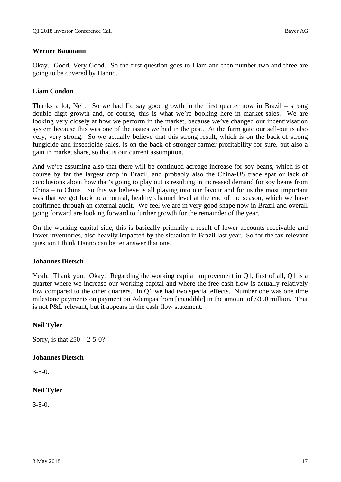#### **Werner Baumann**

Okay. Good. Very Good. So the first question goes to Liam and then number two and three are going to be covered by Hanno.

#### **Liam Condon**

Thanks a lot, Neil. So we had I'd say good growth in the first quarter now in Brazil – strong double digit growth and, of course, this is what we're booking here in market sales. We are looking very closely at how we perform in the market, because we've changed our incentivisation system because this was one of the issues we had in the past. At the farm gate our sell-out is also very, very strong. So we actually believe that this strong result, which is on the back of strong fungicide and insecticide sales, is on the back of stronger farmer profitability for sure, but also a gain in market share, so that is our current assumption.

And we're assuming also that there will be continued acreage increase for soy beans, which is of course by far the largest crop in Brazil, and probably also the China-US trade spat or lack of conclusions about how that's going to play out is resulting in increased demand for soy beans from China – to China. So this we believe is all playing into our favour and for us the most important was that we got back to a normal, healthy channel level at the end of the season, which we have confirmed through an external audit. We feel we are in very good shape now in Brazil and overall going forward are looking forward to further growth for the remainder of the year.

On the working capital side, this is basically primarily a result of lower accounts receivable and lower inventories, also heavily impacted by the situation in Brazil last year. So for the tax relevant question I think Hanno can better answer that one.

#### **Johannes Dietsch**

Yeah. Thank you. Okay. Regarding the working capital improvement in Q1, first of all, Q1 is a quarter where we increase our working capital and where the free cash flow is actually relatively low compared to the other quarters. In Q1 we had two special effects. Number one was one time milestone payments on payment on Adempas from [inaudible] in the amount of \$350 million. That is not P&L relevant, but it appears in the cash flow statement.

#### **Neil Tyler**

Sorry, is that  $250 - 2 - 5 - 0$ ?

#### **Johannes Dietsch**

 $3 - 5 - 0$ .

#### **Neil Tyler**

 $3 - 5 - 0$ .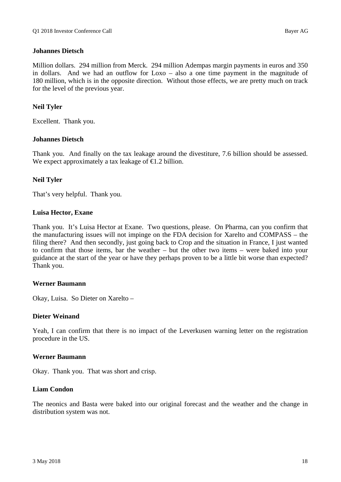### **Johannes Dietsch**

Million dollars. 294 million from Merck. 294 million Adempas margin payments in euros and 350 in dollars. And we had an outflow for Loxo – also a one time payment in the magnitude of 180 million, which is in the opposite direction. Without those effects, we are pretty much on track for the level of the previous year.

## **Neil Tyler**

Excellent. Thank you.

#### **Johannes Dietsch**

Thank you. And finally on the tax leakage around the divestiture, 7.6 billion should be assessed. We expect approximately a tax leakage of  $\epsilon$ 1.2 billion.

#### **Neil Tyler**

That's very helpful. Thank you.

#### **Luisa Hector, Exane**

Thank you. It's Luisa Hector at Exane. Two questions, please. On Pharma, can you confirm that the manufacturing issues will not impinge on the FDA decision for Xarelto and COMPASS – the filing there? And then secondly, just going back to Crop and the situation in France, I just wanted to confirm that those items, bar the weather – but the other two items – were baked into your guidance at the start of the year or have they perhaps proven to be a little bit worse than expected? Thank you.

#### **Werner Baumann**

Okay, Luisa. So Dieter on Xarelto –

#### **Dieter Weinand**

Yeah, I can confirm that there is no impact of the Leverkusen warning letter on the registration procedure in the US.

#### **Werner Baumann**

Okay. Thank you. That was short and crisp.

#### **Liam Condon**

The neonics and Basta were baked into our original forecast and the weather and the change in distribution system was not.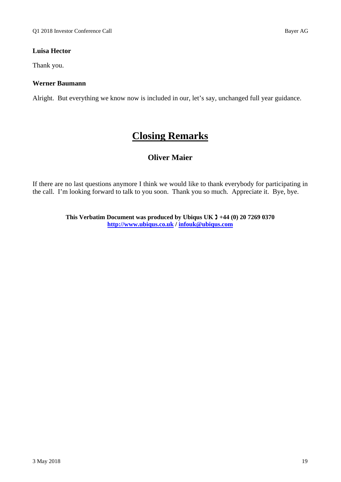## **Luisa Hector**

Thank you.

## **Werner Baumann**

Alright. But everything we know now is included in our, let's say, unchanged full year guidance.

## **Closing Remarks**

## **Oliver Maier**

If there are no last questions anymore I think we would like to thank everybody for participating in the call. I'm looking forward to talk to you soon. Thank you so much. Appreciate it. Bye, bye.

> **This Verbatim Document was produced by Ubiqus UK +44 (0) 20 7269 0370 http://www.ubiqus.co.uk / infouk@ubiqus.com**